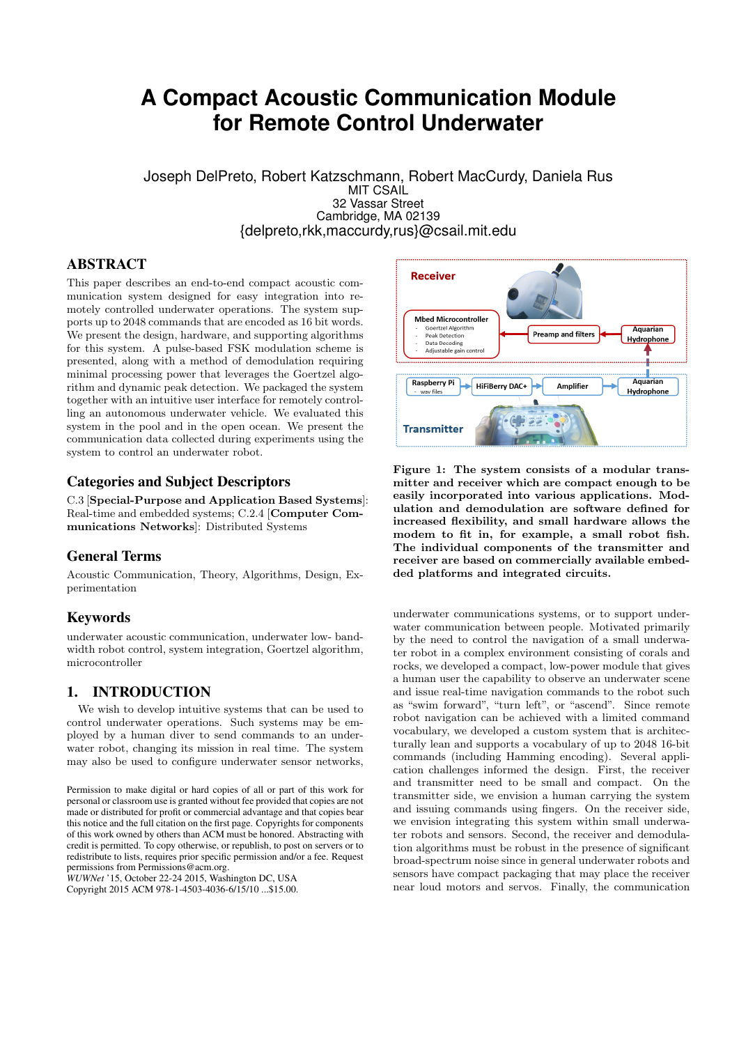# **A Compact Acoustic Communication Module for Remote Control Underwater**

Joseph DelPreto, Robert Katzschmann, Robert MacCurdy, Daniela Rus MIT CSAIL 32 Vassar Street Cambridge, MA 02139 {delpreto,rkk,maccurdy,rus}@csail.mit.edu

# ABSTRACT

This paper describes an end-to-end compact acoustic communication system designed for easy integration into remotely controlled underwater operations. The system supports up to 2048 commands that are encoded as 16 bit words. We present the design, hardware, and supporting algorithms for this system. A pulse-based FSK modulation scheme is presented, along with a method of demodulation requiring minimal processing power that leverages the Goertzel algorithm and dynamic peak detection. We packaged the system together with an intuitive user interface for remotely controlling an autonomous underwater vehicle. We evaluated this system in the pool and in the open ocean. We present the communication data collected during experiments using the system to control an underwater robot.

# Categories and Subject Descriptors

C.3 [Special-Purpose and Application Based Systems]: Real-time and embedded systems; C.2.4 [Computer Communications Networks]: Distributed Systems

## General Terms

Acoustic Communication, Theory, Algorithms, Design, Experimentation

## Keywords

underwater acoustic communication, underwater low- bandwidth robot control, system integration, Goertzel algorithm, microcontroller

## 1. INTRODUCTION

We wish to develop intuitive systems that can be used to control underwater operations. Such systems may be employed by a human diver to send commands to an underwater robot, changing its mission in real time. The system may also be used to configure underwater sensor networks,

*WUWNet* '15, October 22-24 2015, Washington DC, USA

Copyright 2015 ACM 978-1-4503-4036-6/15/10 ...\$15.00.



<span id="page-0-0"></span>Figure 1: The system consists of a modular transmitter and receiver which are compact enough to be easily incorporated into various applications. Modulation and demodulation are software defined for increased flexibility, and small hardware allows the modem to fit in, for example, a small robot fish. The individual components of the transmitter and receiver are based on commercially available embedded platforms and integrated circuits.

underwater communications systems, or to support underwater communication between people. Motivated primarily by the need to control the navigation of a small underwater robot in a complex environment consisting of corals and rocks, we developed a compact, low-power module that gives a human user the capability to observe an underwater scene and issue real-time navigation commands to the robot such as "swim forward", "turn left", or "ascend". Since remote robot navigation can be achieved with a limited command vocabulary, we developed a custom system that is architecturally lean and supports a vocabulary of up to 2048 16-bit commands (including Hamming encoding). Several application challenges informed the design. First, the receiver and transmitter need to be small and compact. On the transmitter side, we envision a human carrying the system and issuing commands using fingers. On the receiver side, we envision integrating this system within small underwater robots and sensors. Second, the receiver and demodulation algorithms must be robust in the presence of significant broad-spectrum noise since in general underwater robots and sensors have compact packaging that may place the receiver near loud motors and servos. Finally, the communication

Permission to make digital or hard copies of all or part of this work for personal or classroom use is granted without fee provided that copies are not made or distributed for profit or commercial advantage and that copies bear this notice and the full citation on the first page. Copyrights for components of this work owned by others than ACM must be honored. Abstracting with credit is permitted. To copy otherwise, or republish, to post on servers or to redistribute to lists, requires prior specific permission and/or a fee. Request permissions from Permissions@acm.org.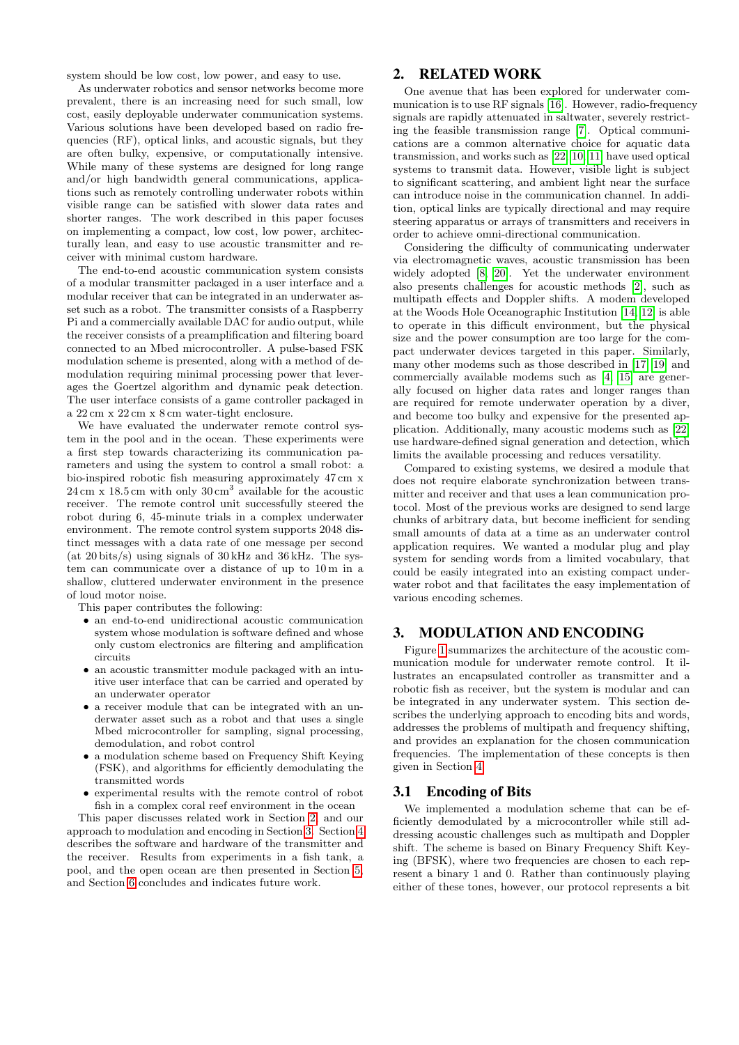system should be low cost, low power, and easy to use.

As underwater robotics and sensor networks become more prevalent, there is an increasing need for such small, low cost, easily deployable underwater communication systems. Various solutions have been developed based on radio frequencies (RF), optical links, and acoustic signals, but they are often bulky, expensive, or computationally intensive. While many of these systems are designed for long range and/or high bandwidth general communications, applications such as remotely controlling underwater robots within visible range can be satisfied with slower data rates and shorter ranges. The work described in this paper focuses on implementing a compact, low cost, low power, architecturally lean, and easy to use acoustic transmitter and receiver with minimal custom hardware.

The end-to-end acoustic communication system consists of a modular transmitter packaged in a user interface and a modular receiver that can be integrated in an underwater asset such as a robot. The transmitter consists of a Raspberry Pi and a commercially available DAC for audio output, while the receiver consists of a preamplification and filtering board connected to an Mbed microcontroller. A pulse-based FSK modulation scheme is presented, along with a method of demodulation requiring minimal processing power that leverages the Goertzel algorithm and dynamic peak detection. The user interface consists of a game controller packaged in a 22 cm x 22 cm x 8 cm water-tight enclosure.

We have evaluated the underwater remote control system in the pool and in the ocean. These experiments were a first step towards characterizing its communication parameters and using the system to control a small robot: a bio-inspired robotic fish measuring approximately 47 cm x  $24 \text{ cm} \times 18.5 \text{ cm}$  with only  $30 \text{ cm}^3$  available for the acoustic receiver. The remote control unit successfully steered the robot during 6, 45-minute trials in a complex underwater environment. The remote control system supports 2048 distinct messages with a data rate of one message per second (at 20 bits/s) using signals of 30 kHz and 36 kHz. The system can communicate over a distance of up to 10 m in a shallow, cluttered underwater environment in the presence of loud motor noise.

This paper contributes the following:

- an end-to-end unidirectional acoustic communication system whose modulation is software defined and whose only custom electronics are filtering and amplification circuits
- an acoustic transmitter module packaged with an intuitive user interface that can be carried and operated by an underwater operator
- a receiver module that can be integrated with an underwater asset such as a robot and that uses a single Mbed microcontroller for sampling, signal processing, demodulation, and robot control
- a modulation scheme based on Frequency Shift Keying (FSK), and algorithms for efficiently demodulating the transmitted words
- experimental results with the remote control of robot fish in a complex coral reef environment in the ocean

This paper discusses related work in Section [2,](#page-1-0) and our approach to modulation and encoding in Section [3.](#page-1-1) Section [4](#page-2-0) describes the software and hardware of the transmitter and the receiver. Results from experiments in a fish tank, a pool, and the open ocean are then presented in Section [5,](#page-4-0) and Section [6](#page-5-0) concludes and indicates future work.

## <span id="page-1-0"></span>2. RELATED WORK

One avenue that has been explored for underwater communication is to use RF signals [\[16\]](#page-6-0). However, radio-frequency signals are rapidly attenuated in saltwater, severely restricting the feasible transmission range [\[7\]](#page-6-1). Optical communications are a common alternative choice for aquatic data transmission, and works such as [\[22,](#page-6-2) [10,](#page-6-3) [11\]](#page-6-4) have used optical systems to transmit data. However, visible light is subject to significant scattering, and ambient light near the surface can introduce noise in the communication channel. In addition, optical links are typically directional and may require steering apparatus or arrays of transmitters and receivers in order to achieve omni-directional communication.

Considering the difficulty of communicating underwater via electromagnetic waves, acoustic transmission has been widely adopted [\[8,](#page-6-5) [20\]](#page-6-6). Yet the underwater environment also presents challenges for acoustic methods [\[2\]](#page-6-7), such as multipath effects and Doppler shifts. A modem developed at the Woods Hole Oceanographic Institution [\[14,](#page-6-8) [12\]](#page-6-9) is able to operate in this difficult environment, but the physical size and the power consumption are too large for the compact underwater devices targeted in this paper. Similarly, many other modems such as those described in [\[17,](#page-6-10) [19\]](#page-6-11) and commercially available modems such as [\[4,](#page-6-12) [15\]](#page-6-13) are generally focused on higher data rates and longer ranges than are required for remote underwater operation by a diver, and become too bulky and expensive for the presented application. Additionally, many acoustic modems such as [\[22\]](#page-6-2) use hardware-defined signal generation and detection, which limits the available processing and reduces versatility.

Compared to existing systems, we desired a module that does not require elaborate synchronization between transmitter and receiver and that uses a lean communication protocol. Most of the previous works are designed to send large chunks of arbitrary data, but become inefficient for sending small amounts of data at a time as an underwater control application requires. We wanted a modular plug and play system for sending words from a limited vocabulary, that could be easily integrated into an existing compact underwater robot and that facilitates the easy implementation of various encoding schemes.

## <span id="page-1-1"></span>3. MODULATION AND ENCODING

Figure [1](#page-0-0) summarizes the architecture of the acoustic communication module for underwater remote control. It illustrates an encapsulated controller as transmitter and a robotic fish as receiver, but the system is modular and can be integrated in any underwater system. This section describes the underlying approach to encoding bits and words, addresses the problems of multipath and frequency shifting, and provides an explanation for the chosen communication frequencies. The implementation of these concepts is then given in Section [4.](#page-2-0)

## 3.1 Encoding of Bits

We implemented a modulation scheme that can be efficiently demodulated by a microcontroller while still addressing acoustic challenges such as multipath and Doppler shift. The scheme is based on Binary Frequency Shift Keying (BFSK), where two frequencies are chosen to each represent a binary 1 and 0. Rather than continuously playing either of these tones, however, our protocol represents a bit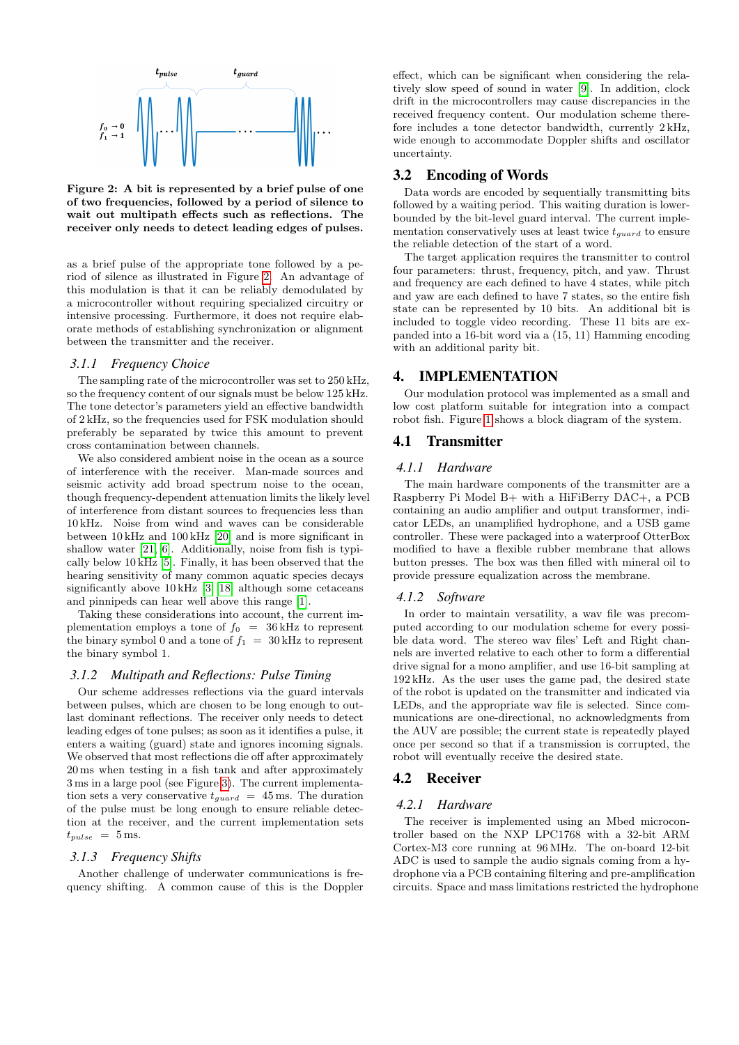

<span id="page-2-1"></span>Figure 2: A bit is represented by a brief pulse of one of two frequencies, followed by a period of silence to wait out multipath effects such as reflections. The receiver only needs to detect leading edges of pulses.

as a brief pulse of the appropriate tone followed by a period of silence as illustrated in Figure [2.](#page-2-1) An advantage of this modulation is that it can be reliably demodulated by a microcontroller without requiring specialized circuitry or intensive processing. Furthermore, it does not require elaborate methods of establishing synchronization or alignment between the transmitter and the receiver.

### *3.1.1 Frequency Choice*

The sampling rate of the microcontroller was set to 250 kHz, so the frequency content of our signals must be below 125 kHz. The tone detector's parameters yield an effective bandwidth of 2 kHz, so the frequencies used for FSK modulation should preferably be separated by twice this amount to prevent cross contamination between channels.

We also considered ambient noise in the ocean as a source of interference with the receiver. Man-made sources and seismic activity add broad spectrum noise to the ocean, though frequency-dependent attenuation limits the likely level of interference from distant sources to frequencies less than 10 kHz. Noise from wind and waves can be considerable between 10 kHz and 100 kHz [\[20\]](#page-6-6) and is more significant in shallow water [\[21,](#page-6-14) [6\]](#page-6-15). Additionally, noise from fish is typically below 10 kHz [\[5\]](#page-6-16). Finally, it has been observed that the hearing sensitivity of many common aquatic species decays significantly above 10 kHz [\[3,](#page-6-17) [18\]](#page-6-18) although some cetaceans and pinnipeds can hear well above this range [\[1\]](#page-6-19).

Taking these considerations into account, the current implementation employs a tone of  $f_0 = 36$  kHz to represent the binary symbol 0 and a tone of  $f_1 = 30$  kHz to represent the binary symbol 1.

#### *3.1.2 Multipath and Reflections: Pulse Timing*

Our scheme addresses reflections via the guard intervals between pulses, which are chosen to be long enough to outlast dominant reflections. The receiver only needs to detect leading edges of tone pulses; as soon as it identifies a pulse, it enters a waiting (guard) state and ignores incoming signals. We observed that most reflections die off after approximately 20 ms when testing in a fish tank and after approximately 3 ms in a large pool (see Figure [3\)](#page-4-1). The current implementation sets a very conservative  $t_{guard}$  = 45 ms. The duration of the pulse must be long enough to ensure reliable detection at the receiver, and the current implementation sets  $t_{pulse} = 5$  ms.

#### *3.1.3 Frequency Shifts*

Another challenge of underwater communications is frequency shifting. A common cause of this is the Doppler

effect, which can be significant when considering the relatively slow speed of sound in water [\[9\]](#page-6-20). In addition, clock drift in the microcontrollers may cause discrepancies in the received frequency content. Our modulation scheme therefore includes a tone detector bandwidth, currently 2 kHz, wide enough to accommodate Doppler shifts and oscillator uncertainty.

## 3.2 Encoding of Words

Data words are encoded by sequentially transmitting bits followed by a waiting period. This waiting duration is lowerbounded by the bit-level guard interval. The current implementation conservatively uses at least twice  $t_{guard}$  to ensure the reliable detection of the start of a word.

The target application requires the transmitter to control four parameters: thrust, frequency, pitch, and yaw. Thrust and frequency are each defined to have 4 states, while pitch and yaw are each defined to have 7 states, so the entire fish state can be represented by 10 bits. An additional bit is included to toggle video recording. These 11 bits are expanded into a 16-bit word via a (15, 11) Hamming encoding with an additional parity bit.

#### <span id="page-2-0"></span>4. IMPLEMENTATION

Our modulation protocol was implemented as a small and low cost platform suitable for integration into a compact robot fish. Figure [1](#page-0-0) shows a block diagram of the system.

## 4.1 Transmitter

## *4.1.1 Hardware*

The main hardware components of the transmitter are a Raspberry Pi Model B+ with a HiFiBerry DAC+, a PCB containing an audio amplifier and output transformer, indicator LEDs, an unamplified hydrophone, and a USB game controller. These were packaged into a waterproof OtterBox modified to have a flexible rubber membrane that allows button presses. The box was then filled with mineral oil to provide pressure equalization across the membrane.

#### *4.1.2 Software*

In order to maintain versatility, a wav file was precomputed according to our modulation scheme for every possible data word. The stereo wav files' Left and Right channels are inverted relative to each other to form a differential drive signal for a mono amplifier, and use 16-bit sampling at 192 kHz. As the user uses the game pad, the desired state of the robot is updated on the transmitter and indicated via LEDs, and the appropriate wav file is selected. Since communications are one-directional, no acknowledgments from the AUV are possible; the current state is repeatedly played once per second so that if a transmission is corrupted, the robot will eventually receive the desired state.

## 4.2 Receiver

#### *4.2.1 Hardware*

The receiver is implemented using an Mbed microcontroller based on the NXP LPC1768 with a 32-bit ARM Cortex-M3 core running at 96 MHz. The on-board 12-bit ADC is used to sample the audio signals coming from a hydrophone via a PCB containing filtering and pre-amplification circuits. Space and mass limitations restricted the hydrophone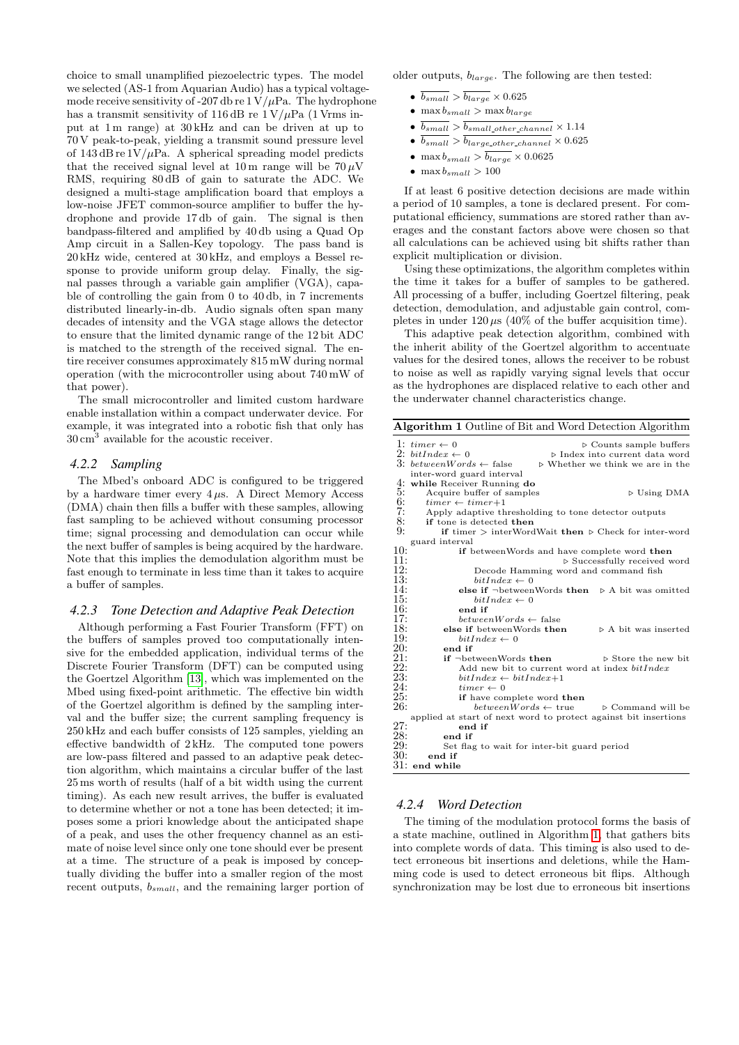choice to small unamplified piezoelectric types. The model we selected (AS-1 from Aquarian Audio) has a typical voltagemode receive sensitivity of -207 db re  $1 \text{ V}/\mu\text{Pa}$ . The hydrophone has a transmit sensitivity of 116 dB re  $1 \text{V}/\mu\text{Pa}$  (1 Vrms input at 1 m range) at 30 kHz and can be driven at up to 70 V peak-to-peak, yielding a transmit sound pressure level of 143 dB re  $1V/\mu Pa$ . A spherical spreading model predicts that the received signal level at 10 m range will be  $70 \mu$ V RMS, requiring 80 dB of gain to saturate the ADC. We designed a multi-stage amplification board that employs a low-noise JFET common-source amplifier to buffer the hydrophone and provide 17 db of gain. The signal is then bandpass-filtered and amplified by 40 db using a Quad Op Amp circuit in a Sallen-Key topology. The pass band is 20 kHz wide, centered at 30 kHz, and employs a Bessel response to provide uniform group delay. Finally, the signal passes through a variable gain amplifier (VGA), capable of controlling the gain from 0 to 40 db, in 7 increments distributed linearly-in-db. Audio signals often span many decades of intensity and the VGA stage allows the detector to ensure that the limited dynamic range of the 12 bit ADC is matched to the strength of the received signal. The entire receiver consumes approximately 815 mW during normal operation (with the microcontroller using about 740 mW of that power).

The small microcontroller and limited custom hardware enable installation within a compact underwater device. For example, it was integrated into a robotic fish that only has 30 cm<sup>3</sup> available for the acoustic receiver.

#### *4.2.2 Sampling*

The Mbed's onboard ADC is configured to be triggered by a hardware timer every  $4 \mu s$ . A Direct Memory Access (DMA) chain then fills a buffer with these samples, allowing fast sampling to be achieved without consuming processor time; signal processing and demodulation can occur while the next buffer of samples is being acquired by the hardware. Note that this implies the demodulation algorithm must be fast enough to terminate in less time than it takes to acquire a buffer of samples.

#### *4.2.3 Tone Detection and Adaptive Peak Detection*

Although performing a Fast Fourier Transform (FFT) on the buffers of samples proved too computationally intensive for the embedded application, individual terms of the Discrete Fourier Transform (DFT) can be computed using the Goertzel Algorithm [\[13\]](#page-6-21), which was implemented on the Mbed using fixed-point arithmetic. The effective bin width of the Goertzel algorithm is defined by the sampling interval and the buffer size; the current sampling frequency is 250 kHz and each buffer consists of 125 samples, yielding an effective bandwidth of 2 kHz. The computed tone powers are low-pass filtered and passed to an adaptive peak detection algorithm, which maintains a circular buffer of the last 25 ms worth of results (half of a bit width using the current timing). As each new result arrives, the buffer is evaluated to determine whether or not a tone has been detected; it imposes some a priori knowledge about the anticipated shape of a peak, and uses the other frequency channel as an estimate of noise level since only one tone should ever be present at a time. The structure of a peak is imposed by conceptually dividing the buffer into a smaller region of the most recent outputs,  $b_{small}$ , and the remaining larger portion of

older outputs,  $b_{large}$ . The following are then tested:

- $\overline{b_{small}} > \overline{b_{large}} \times 0.625$
- max  $b_{small} >$  max  $b_{large}$
- $\bullet$   $\frac{1}{b_{small\_other\_channel}} \times 1.14$
- $\bullet$   $\overline{b_{small}} > \overline{b_{large\_other\_channel}} \times 0.625$
- max  $b_{small} > \overline{b_{large}} \times 0.0625$
- max  $b_{small} > 100$

If at least 6 positive detection decisions are made within a period of 10 samples, a tone is declared present. For computational efficiency, summations are stored rather than averages and the constant factors above were chosen so that all calculations can be achieved using bit shifts rather than explicit multiplication or division.

Using these optimizations, the algorithm completes within the time it takes for a buffer of samples to be gathered. All processing of a buffer, including Goertzel filtering, peak detection, demodulation, and adjustable gain control, completes in under  $120 \mu s$  (40% of the buffer acquisition time).

This adaptive peak detection algorithm, combined with the inherit ability of the Goertzel algorithm to accentuate values for the desired tones, allows the receiver to be robust to noise as well as rapidly varying signal levels that occur as the hydrophones are displaced relative to each other and the underwater channel characteristics change.

<span id="page-3-0"></span>

| <b>Algorithm 1</b> Outline of Bit and Word Detection Algorithm                         |
|----------------------------------------------------------------------------------------|
| 1: $timer \leftarrow 0$<br>$\triangleright$ Counts sample buffers                      |
| 2: bitIndex $\leftarrow 0$<br>$\triangleright$ Index into current data word            |
| 3: between $Words \leftarrow$ false<br>$\triangleright$ Whether we think we are in the |
| inter-word guard interval                                                              |
| 4:<br>while Receiver Running do                                                        |
| 5:<br>Acquire buffer of samples<br>$\triangleright$ Using DMA                          |
| $rac{6}{7}$ :<br>8:<br>$timer \leftarrow timer + 1$                                    |
| Apply adaptive thresholding to tone detector outputs                                   |
| if tone is detected then                                                               |
| 9:<br>if timer $>$ interWordWait then $\triangleright$ Check for inter-word            |
| guard interval                                                                         |
| 10:<br>if betweenWords and have complete word then                                     |
| 11:<br>$\triangleright$ Successfully received word                                     |
| 12:<br>Decode Hamming word and command fish                                            |
| 13:<br>$bitIndex \leftarrow 0$                                                         |
| 14:<br>else if $\neg$ betweenWords then $\triangleright$ A bit was omitted             |
| 15:<br>$bitIndex \leftarrow 0$                                                         |
| 16:<br>end if                                                                          |
| 17:<br>$betweenWords \leftarrow false$                                                 |
| 18:<br>else if betweenWords then<br>$\triangleright$ A bit was inserted                |
| 19:<br>$bitIndex \leftarrow 0$                                                         |
| 20:<br>end if                                                                          |
| 21:<br>if $\neg$ betweenWords then<br>$\triangleright$ Store the new bit               |
| 22:<br>Add new bit to current word at index bitIndex                                   |
| 23:<br>$bitIndex \leftarrow bitIndex + 1$                                              |
| 24:<br>$timer \leftarrow 0$                                                            |
| 25:<br>if have complete word then                                                      |
| 26:<br>$between Words \leftarrow true$<br>$\triangleright$ Command will be             |
| applied at start of next word to protect against bit insertions                        |
| 27:<br>end if                                                                          |
| 28:<br>end if                                                                          |
| 29:<br>Set flag to wait for inter-bit guard period                                     |
| 30:<br>end if                                                                          |
| 31:<br>end while                                                                       |

#### *4.2.4 Word Detection*

The timing of the modulation protocol forms the basis of a state machine, outlined in Algorithm [1,](#page-3-0) that gathers bits into complete words of data. This timing is also used to detect erroneous bit insertions and deletions, while the Hamming code is used to detect erroneous bit flips. Although synchronization may be lost due to erroneous bit insertions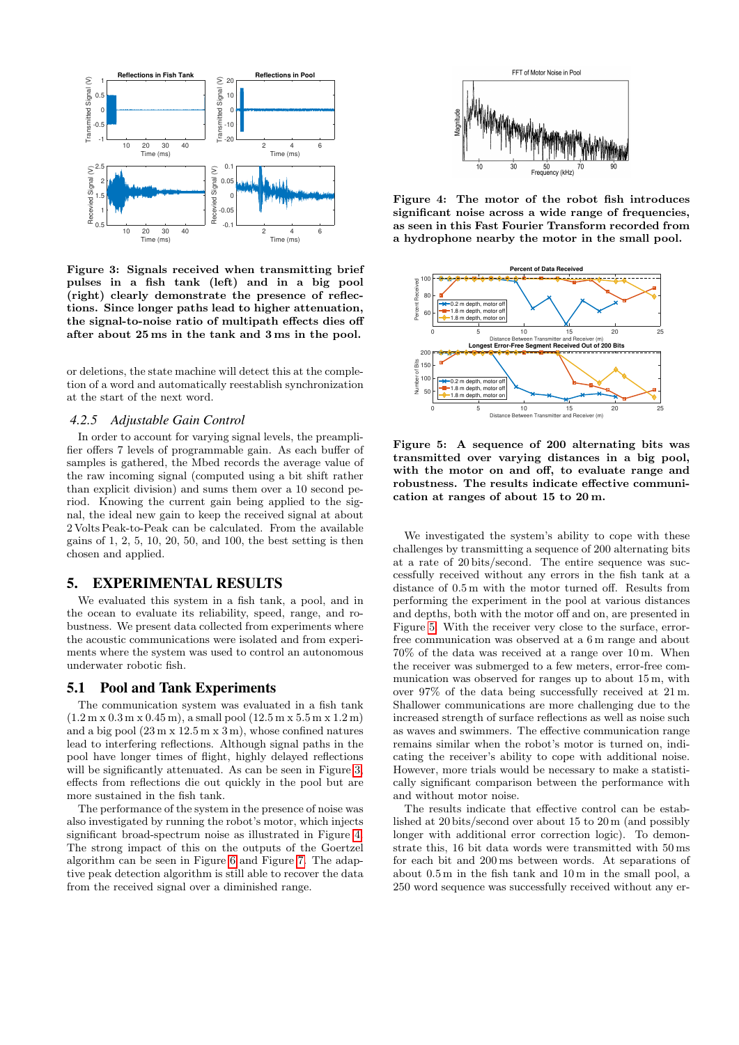

<span id="page-4-1"></span>Figure 3: Signals received when transmitting brief pulses in a fish tank (left) and in a big pool (right) clearly demonstrate the presence of reflections. Since longer paths lead to higher attenuation, the signal-to-noise ratio of multipath effects dies off after about 25 ms in the tank and 3 ms in the pool.

or deletions, the state machine will detect this at the completion of a word and automatically reestablish synchronization at the start of the next word.

#### *4.2.5 Adjustable Gain Control*

In order to account for varying signal levels, the preamplifier offers 7 levels of programmable gain. As each buffer of samples is gathered, the Mbed records the average value of the raw incoming signal (computed using a bit shift rather than explicit division) and sums them over a 10 second period. Knowing the current gain being applied to the signal, the ideal new gain to keep the received signal at about 2 Volts Peak-to-Peak can be calculated. From the available gains of 1, 2, 5, 10, 20, 50, and 100, the best setting is then chosen and applied.

#### <span id="page-4-0"></span>5. EXPERIMENTAL RESULTS

We evaluated this system in a fish tank, a pool, and in the ocean to evaluate its reliability, speed, range, and robustness. We present data collected from experiments where the acoustic communications were isolated and from experiments where the system was used to control an autonomous underwater robotic fish.

### 5.1 Pool and Tank Experiments

The communication system was evaluated in a fish tank  $(1.2 \text{ m x } 0.3 \text{ m x } 0.45 \text{ m})$ , a small pool  $(12.5 \text{ m x } 5.5 \text{ m x } 1.2 \text{ m})$ and a big pool  $(23 \text{ m x } 12.5 \text{ m x } 3 \text{ m})$ , whose confined natures lead to interfering reflections. Although signal paths in the pool have longer times of flight, highly delayed reflections will be significantly attenuated. As can be seen in Figure [3,](#page-4-1) effects from reflections die out quickly in the pool but are more sustained in the fish tank.

The performance of the system in the presence of noise was also investigated by running the robot's motor, which injects significant broad-spectrum noise as illustrated in Figure [4.](#page-4-2) The strong impact of this on the outputs of the Goertzel algorithm can be seen in Figure [6](#page-5-1) and Figure [7.](#page-5-2) The adaptive peak detection algorithm is still able to recover the data from the received signal over a diminished range.



<span id="page-4-2"></span>Figure 4: The motor of the robot fish introduces significant noise across a wide range of frequencies. as seen in this Fast Fourier Transform recorded from a hydrophone nearby the motor in the small pool.



<span id="page-4-3"></span>Figure 5: A sequence of 200 alternating bits was transmitted over varying distances in a big pool, with the motor on and off, to evaluate range and robustness. The results indicate effective communication at ranges of about 15 to 20 m.

We investigated the system's ability to cope with these challenges by transmitting a sequence of 200 alternating bits at a rate of 20 bits/second. The entire sequence was successfully received without any errors in the fish tank at a distance of 0.5 m with the motor turned off. Results from performing the experiment in the pool at various distances and depths, both with the motor off and on, are presented in Figure [5.](#page-4-3) With the receiver very close to the surface, errorfree communication was observed at a 6 m range and about 70% of the data was received at a range over 10 m. When the receiver was submerged to a few meters, error-free communication was observed for ranges up to about 15 m, with over 97% of the data being successfully received at 21 m. Shallower communications are more challenging due to the increased strength of surface reflections as well as noise such as waves and swimmers. The effective communication range remains similar when the robot's motor is turned on, indicating the receiver's ability to cope with additional noise. However, more trials would be necessary to make a statistically significant comparison between the performance with and without motor noise.

The results indicate that effective control can be established at 20 bits/second over about 15 to 20 m (and possibly longer with additional error correction logic). To demonstrate this, 16 bit data words were transmitted with 50 ms for each bit and 200 ms between words. At separations of about 0.5 m in the fish tank and 10 m in the small pool, a 250 word sequence was successfully received without any er-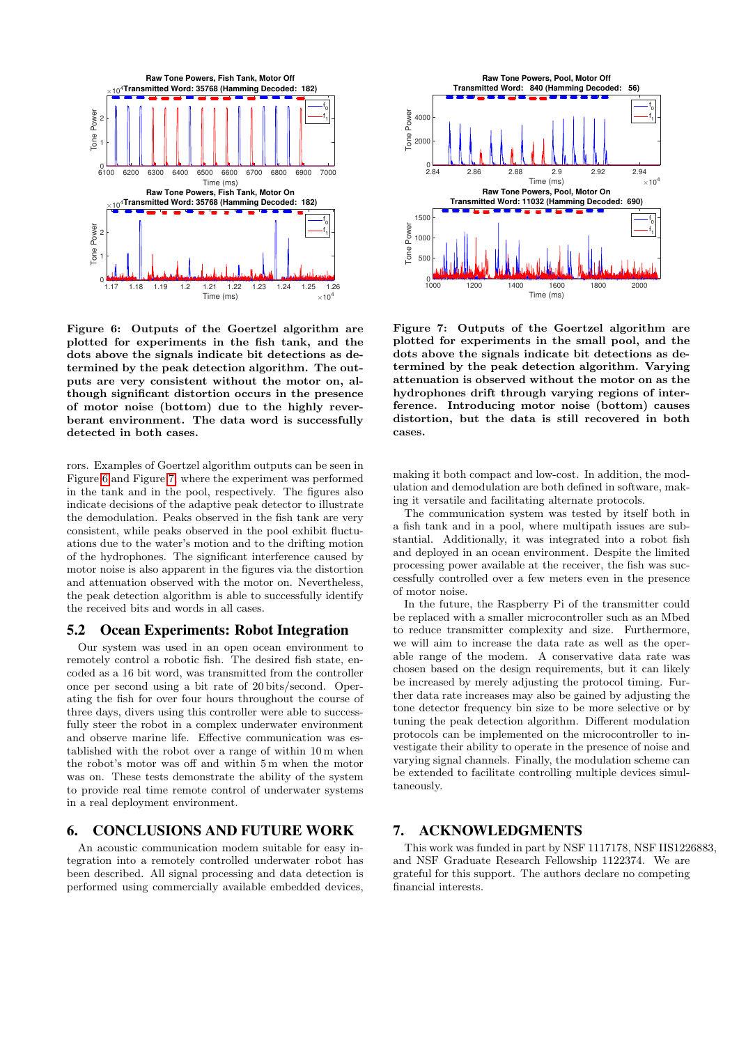

<span id="page-5-1"></span>Figure 6: Outputs of the Goertzel algorithm are plotted for experiments in the fish tank, and the dots above the signals indicate bit detections as determined by the peak detection algorithm. The outputs are very consistent without the motor on, although significant distortion occurs in the presence of motor noise (bottom) due to the highly reverberant environment. The data word is successfully detected in both cases.

rors. Examples of Goertzel algorithm outputs can be seen in Figure [6](#page-5-1) and Figure [7,](#page-5-2) where the experiment was performed in the tank and in the pool, respectively. The figures also indicate decisions of the adaptive peak detector to illustrate the demodulation. Peaks observed in the fish tank are very consistent, while peaks observed in the pool exhibit fluctuations due to the water's motion and to the drifting motion of the hydrophones. The significant interference caused by motor noise is also apparent in the figures via the distortion and attenuation observed with the motor on. Nevertheless, the peak detection algorithm is able to successfully identify the received bits and words in all cases.

## 5.2 Ocean Experiments: Robot Integration

Our system was used in an open ocean environment to remotely control a robotic fish. The desired fish state, encoded as a 16 bit word, was transmitted from the controller once per second using a bit rate of 20 bits/second. Operating the fish for over four hours throughout the course of three days, divers using this controller were able to successfully steer the robot in a complex underwater environment and observe marine life. Effective communication was established with the robot over a range of within 10 m when the robot's motor was off and within 5 m when the motor was on. These tests demonstrate the ability of the system to provide real time remote control of underwater systems in a real deployment environment.

## <span id="page-5-0"></span>6. CONCLUSIONS AND FUTURE WORK

An acoustic communication modem suitable for easy integration into a remotely controlled underwater robot has been described. All signal processing and data detection is performed using commercially available embedded devices,



<span id="page-5-2"></span>Figure 7: Outputs of the Goertzel algorithm are plotted for experiments in the small pool, and the dots above the signals indicate bit detections as determined by the peak detection algorithm. Varying attenuation is observed without the motor on as the hydrophones drift through varying regions of interference. Introducing motor noise (bottom) causes distortion, but the data is still recovered in both cases.

making it both compact and low-cost. In addition, the modulation and demodulation are both defined in software, making it versatile and facilitating alternate protocols.

The communication system was tested by itself both in a fish tank and in a pool, where multipath issues are substantial. Additionally, it was integrated into a robot fish and deployed in an ocean environment. Despite the limited processing power available at the receiver, the fish was successfully controlled over a few meters even in the presence of motor noise.

In the future, the Raspberry Pi of the transmitter could be replaced with a smaller microcontroller such as an Mbed to reduce transmitter complexity and size. Furthermore, we will aim to increase the data rate as well as the operable range of the modem. A conservative data rate was chosen based on the design requirements, but it can likely be increased by merely adjusting the protocol timing. Further data rate increases may also be gained by adjusting the tone detector frequency bin size to be more selective or by tuning the peak detection algorithm. Different modulation protocols can be implemented on the microcontroller to investigate their ability to operate in the presence of noise and varying signal channels. Finally, the modulation scheme can be extended to facilitate controlling multiple devices simultaneously.

#### 7. ACKNOWLEDGMENTS

This work was funded in part by NSF 1117178, NSF IIS1226883, and NSF Graduate Research Fellowship 1122374. We are grateful for this support. The authors declare no competing financial interests.